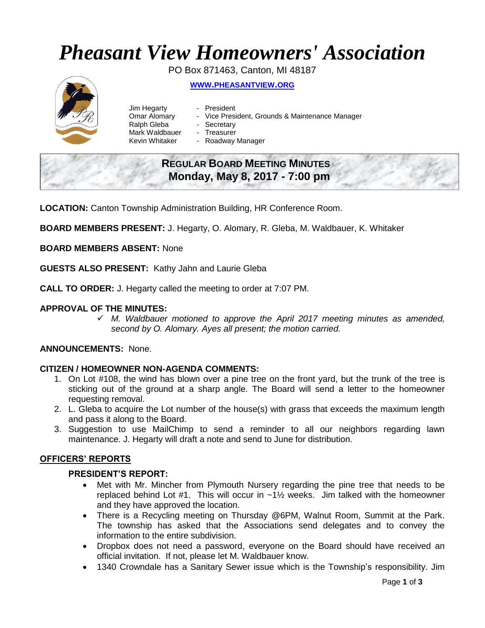# *Pheasant View Homeowners' Association*

PO Box 871463, Canton, MI 48187



- **WWW.[PHEASANTVIEW](http://www.pheasantview.org/).ORG**
- Jim Hegarty President
	-
- Omar Alomary Vice President, Grounds & Maintenance Manager
- Ralph Gleba Secretary
- Mark Waldbauer Treasurer
- Kevin Whitaker Roadway Manager

# **REGULAR BOARD MEETING MINUTES Monday, May 8, 2017 - 7:00 pm**

**LOCATION:** Canton Township Administration Building, HR Conference Room.

**BOARD MEMBERS PRESENT:** J. Hegarty, O. Alomary, R. Gleba, M. Waldbauer, K. Whitaker

**BOARD MEMBERS ABSENT:** None

**GUESTS ALSO PRESENT:** Kathy Jahn and Laurie Gleba

**CALL TO ORDER:** J. Hegarty called the meeting to order at 7:07 PM.

# **APPROVAL OF THE MINUTES:**

✓ *M. Waldbauer motioned to approve the April 2017 meeting minutes as amended, second by O. Alomary. Ayes all present; the motion carried.*

#### **ANNOUNCEMENTS:** None.

# **CITIZEN / HOMEOWNER NON-AGENDA COMMENTS:**

- 1. On Lot #108, the wind has blown over a pine tree on the front yard, but the trunk of the tree is sticking out of the ground at a sharp angle. The Board will send a letter to the homeowner requesting removal.
- 2. L. Gleba to acquire the Lot number of the house(s) with grass that exceeds the maximum length and pass it along to the Board.
- 3. Suggestion to use MailChimp to send a reminder to all our neighbors regarding lawn maintenance. J. Hegarty will draft a note and send to June for distribution.

#### **OFFICERS' REPORTS**

#### **PRESIDENT'S REPORT:**

- Met with Mr. Mincher from Plymouth Nursery regarding the pine tree that needs to be replaced behind Lot #1. This will occur in ~1½ weeks. Jim talked with the homeowner and they have approved the location.
- There is a Recycling meeting on Thursday @6PM, Walnut Room, Summit at the Park. The township has asked that the Associations send delegates and to convey the information to the entire subdivision.
- Dropbox does not need a password, everyone on the Board should have received an official invitation. If not, please let M. Waldbauer know.
- 1340 Crowndale has a Sanitary Sewer issue which is the Township's responsibility. Jim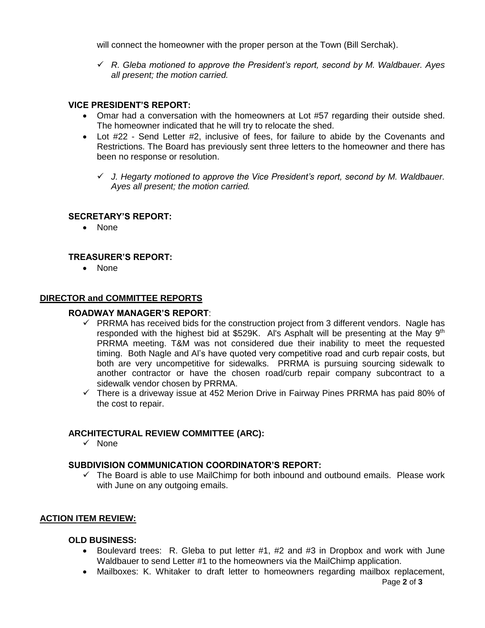will connect the homeowner with the proper person at the Town (Bill Serchak).

✓ *R. Gleba motioned to approve the President's report, second by M. Waldbauer. Ayes all present; the motion carried.*

#### **VICE PRESIDENT'S REPORT:**

- Omar had a conversation with the homeowners at Lot #57 regarding their outside shed. The homeowner indicated that he will try to relocate the shed.
- Lot #22 Send Letter #2, inclusive of fees, for failure to abide by the Covenants and Restrictions. The Board has previously sent three letters to the homeowner and there has been no response or resolution.
	- ✓ *J. Hegarty motioned to approve the Vice President's report, second by M. Waldbauer. Ayes all present; the motion carried.*

#### **SECRETARY'S REPORT:**

• None

# **TREASURER'S REPORT:**

• None

# **DIRECTOR and COMMITTEE REPORTS**

#### **ROADWAY MANAGER'S REPORT**:

- $\checkmark$  PRRMA has received bids for the construction project from 3 different vendors. Nagle has responded with the highest bid at \$529K. Al's Asphalt will be presenting at the May  $9<sup>th</sup>$ PRRMA meeting. T&M was not considered due their inability to meet the requested timing. Both Nagle and Al's have quoted very competitive road and curb repair costs, but both are very uncompetitive for sidewalks. PRRMA is pursuing sourcing sidewalk to another contractor or have the chosen road/curb repair company subcontract to a sidewalk vendor chosen by PRRMA.
- $\checkmark$  There is a driveway issue at 452 Merion Drive in Fairway Pines PRRMA has paid 80% of the cost to repair.

# **ARCHITECTURAL REVIEW COMMITTEE (ARC):**

✓ None

# **SUBDIVISION COMMUNICATION COORDINATOR'S REPORT:**

 $\checkmark$  The Board is able to use MailChimp for both inbound and outbound emails. Please work with June on any outgoing emails.

# **ACTION ITEM REVIEW:**

#### **OLD BUSINESS:**

- Boulevard trees: R. Gleba to put letter #1, #2 and #3 in Dropbox and work with June Waldbauer to send Letter #1 to the homeowners via the MailChimp application.
- Mailboxes: K. Whitaker to draft letter to homeowners regarding mailbox replacement,